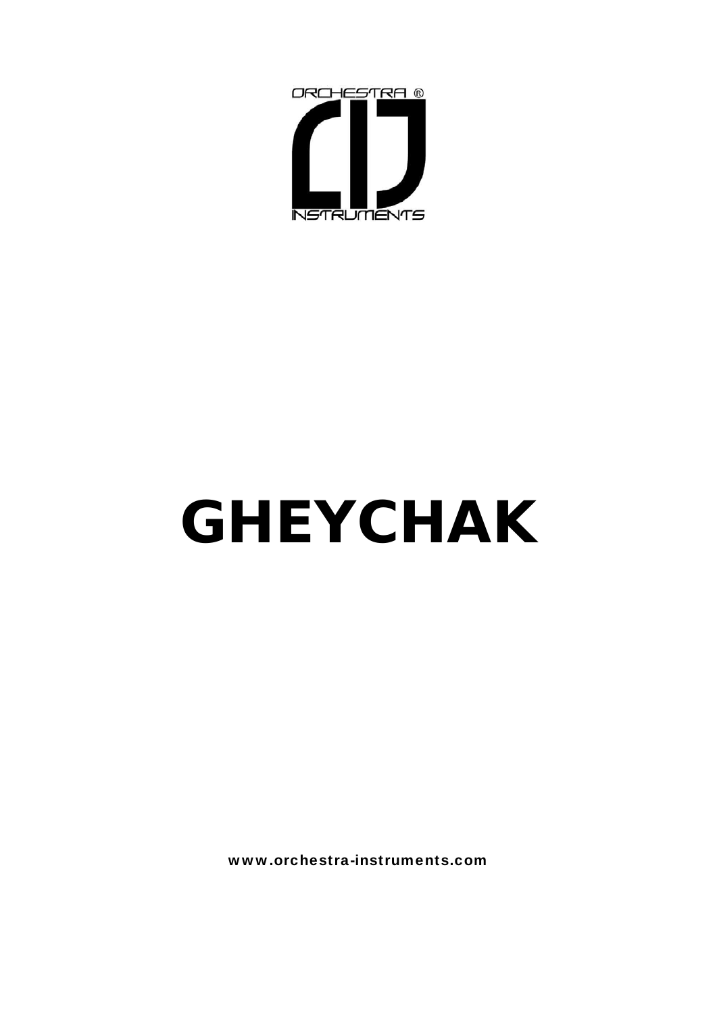

# **GHEYCHAK**

www.orchestra-instruments.com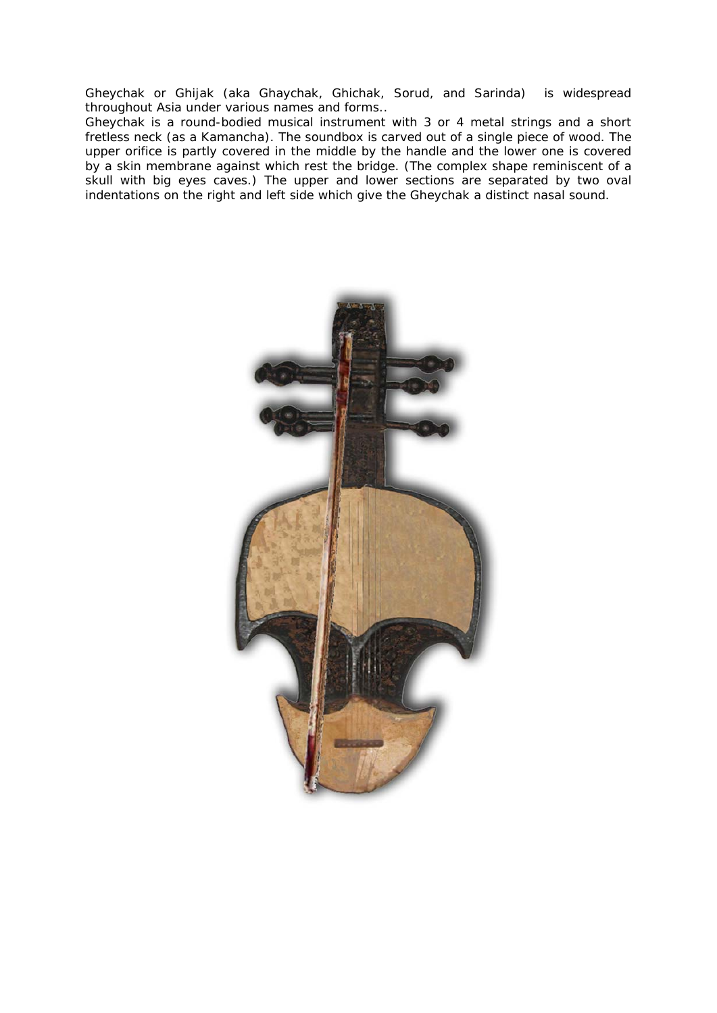Gheychak or Ghijak (aka Ghaychak, Ghichak, Sorud, and Sarinda) is widespread throughout Asia under various names and forms..

Gheychak is a round-bodied musical instrument with 3 or 4 metal strings and a short fretless neck (as a Kamancha). The soundbox is carved out of a single piece of wood. The upper orifice is partly covered in the middle by the handle and the lower one is covered by a skin membrane against which rest the bridge. (The complex shape reminiscent of a skull with big eyes caves.) The upper and lower sections are separated by two oval indentations on the right and left side which give the Gheychak a distinct nasal sound.

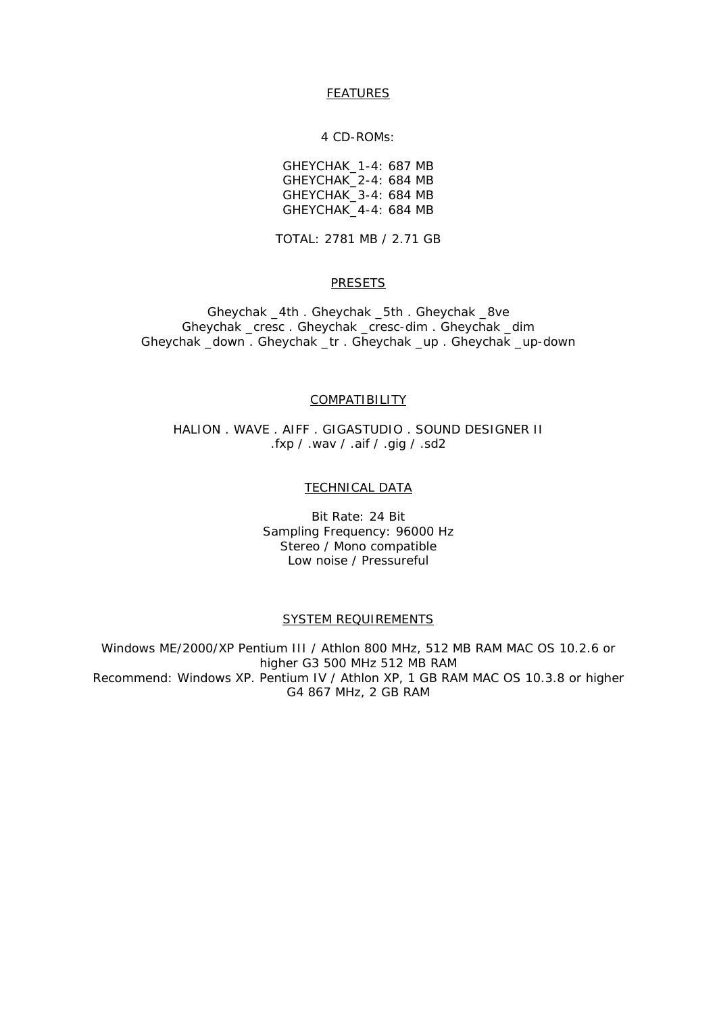## **FEATURES**

#### 4 CD-ROMs:

GHEYCHAK\_1-4: 687 MB GHEYCHAK\_2-4: 684 MB GHEYCHAK\_3-4: 684 MB GHEYCHAK\_4-4: 684 MB

TOTAL: 2781 MB / 2.71 GB

## PRESETS

Gheychak \_4th . Gheychak \_5th . Gheychak \_8ve Gheychak \_cresc . Gheychak \_cresc-dim . Gheychak \_dim Gheychak \_down . Gheychak \_tr . Gheychak \_up . Gheychak \_up-down

#### **COMPATIBILITY**

HALION . WAVE . AIFF . GIGASTUDIO . SOUND DESIGNER II .fxp / .wav / .aif / .gig / .sd2

## **TECHNICAL DATA**

Bit Rate: 24 Bit Sampling Frequency: 96000 Hz Stereo / Mono compatible Low noise / Pressureful

#### SYSTEM REQUIREMENTS

Windows ME/2000/XP Pentium III / Athlon 800 MHz, 512 MB RAM MAC OS 10.2.6 or higher G3 500 MHz 512 MB RAM Recommend: Windows XP. Pentium IV / Athlon XP, 1 GB RAM MAC OS 10.3.8 or higher G4 867 MHz, 2 GB RAM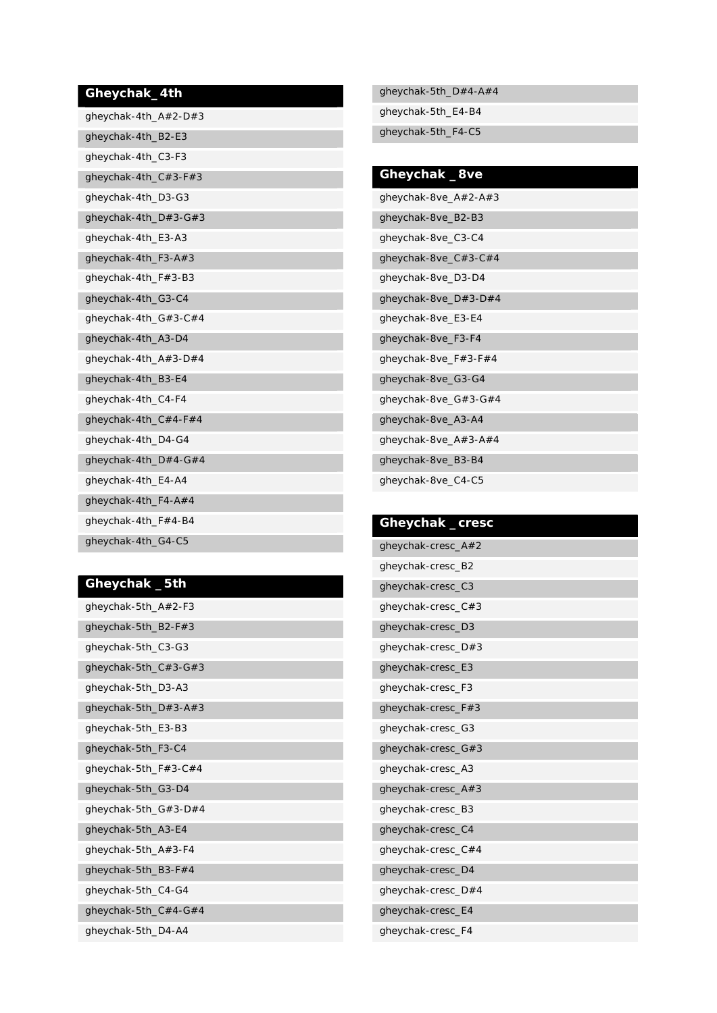## **Gheychak\_4th**

| gheychak-4th_A#2-D#3    |
|-------------------------|
| gheychak-4th_B2-E3      |
| gheychak-4th_C3-F3      |
| qheychak-4th $C#3$ -F#3 |
| gheychak-4th_D3-G3      |
| gheychak-4th_D#3-G#3    |
| gheychak-4th_E3-A3      |
| gheychak-4th_F3-A#3     |
| gheychak-4th_F#3-B3     |
| gheychak-4th_G3-C4      |
| qheychak-4th_G#3-C#4    |
| gheychak-4th_A3-D4      |
| qheychak-4th_A#3-D#4    |
| gheychak-4th_B3-E4      |
| gheychak-4th_C4-F4      |
| gheychak-4th_C#4-F#4    |
| gheychak-4th_D4-G4      |
| gheychak-4th_D#4-G#4    |
| gheychak-4th_E4-A4      |
| gheychak-4th_F4-A#4     |
| gheychak-4th_F#4-B4     |
| gheychak-4th_G4-C5      |

## **Gheychak \_5th**

| gheychak-5th A#2-F3   |
|-----------------------|
| gheychak-5th_B2-F#3   |
| gheychak-5th_C3-G3    |
| gheychak-5th_C#3-G#3  |
| gheychak-5th_D3-A3    |
| gheychak-5th_D#3-A#3  |
| gheychak-5th_E3-B3    |
| gheychak-5th_F3-C4    |
| qheychak-5th_F#3-C#4  |
| gheychak-5th_G3-D4    |
| gheychak-5th_G#3-D#4  |
| gheychak-5th_A3-E4    |
| gheychak-5th $A#3-F4$ |
| qheychak-5th_B3-F#4   |
| gheychak-5th_C4-G4    |
| gheychak-5th_C#4-G#4  |
| gheychak-5th_D4-A4    |

gheychak-5th\_D#4-A#4 gheychak-5th\_E4-B4 gheychak-5th\_F4-C5

| Gheychak _8ve        |
|----------------------|
| gheychak-8ve_A#2-A#3 |
| gheychak-8ve_B2-B3   |
| gheychak-8ve_C3-C4   |
| qheychak-8ve_C#3-C#4 |
| gheychak-8ve_D3-D4   |
| qheychak-8ve_D#3-D#4 |
| gheychak-8ve_E3-E4   |
| gheychak-8ve_F3-F4   |
| qheychak-8ve_F#3-F#4 |
| gheychak-8ve_G3-G4   |
| gheychak-8ve_G#3-G#4 |
| gheychak-8ve_A3-A4   |
| qheychak-8ve_A#3-A#4 |
| gheychak-8ve_B3-B4   |
| gheychak-8ve_C4-C5   |

# **Gheychak \_cresc**  gheychak-cresc\_A#2 gheychak-cresc\_B2 gheychak-cresc\_C3 gheychak-cresc\_C#3 gheychak-cresc\_D3 gheychak-cresc\_D#3 gheychak-cresc\_E3 gheychak-cresc\_F3 gheychak-cresc\_F#3 gheychak-cresc\_G3 gheychak-cresc\_G#3 gheychak-cresc\_A3 gheychak-cresc\_A#3 gheychak-cresc\_B3 gheychak-cresc\_C4 gheychak-cresc\_C#4 gheychak-cresc\_D4 gheychak-cresc\_D#4 gheychak-cresc\_E4 gheychak-cresc\_F4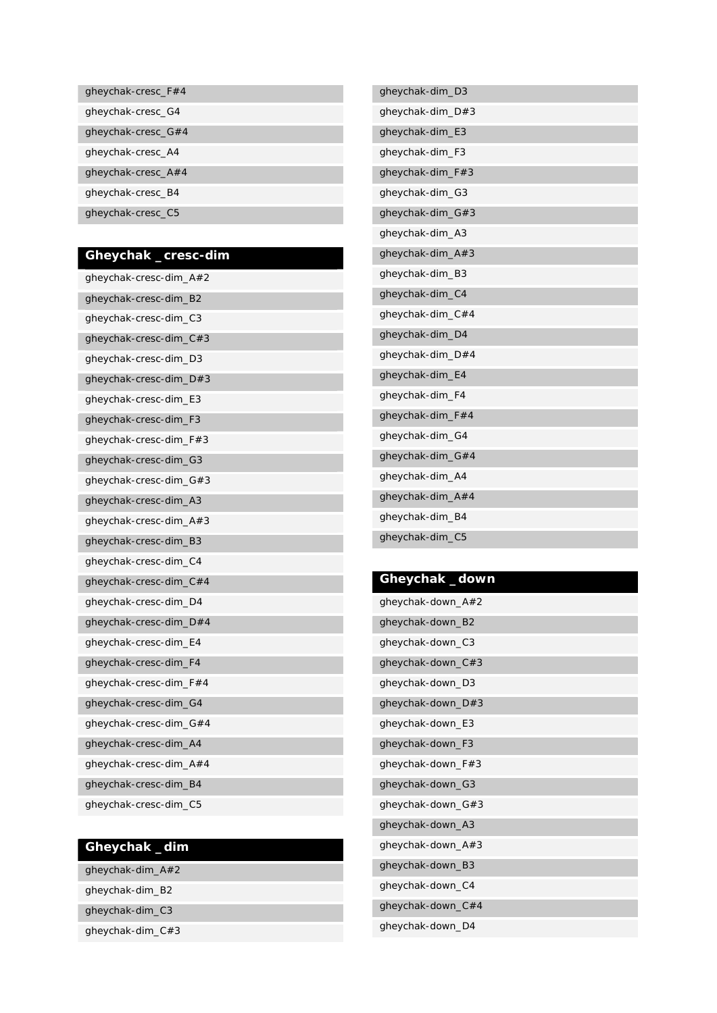| gheychak-cresc $F#4$ |
|----------------------|
| gheychak-cresc G4    |
| gheychak-cresc $G#4$ |
| gheychak-cresc A4    |
| gheychak-cresc $A#4$ |
| gheychak-cresc B4    |
| gheychak-cresc C5    |

## **Gheychak \_cresc-dim**

| gheychak-cresc-dim_A#2 |
|------------------------|
| gheychak-cresc-dim_B2  |
| gheychak-cresc-dim_C3  |
| gheychak-cresc-dim_C#3 |
| gheychak-cresc-dim_D3  |
| gheychak-cresc-dim_D#3 |
| gheychak-cresc-dim_E3  |
| gheychak-cresc-dim_F3  |
| gheychak-cresc-dim_F#3 |
| gheychak-cresc-dim_G3  |
| gheychak-cresc-dim_G#3 |
| gheychak-cresc-dim_A3  |
| gheychak-cresc-dim_A#3 |
| gheychak-cresc-dim_B3  |
| gheychak-cresc-dim_C4  |
| qheychak-cresc-dim_C#4 |
| gheychak-cresc-dim_D4  |
| gheychak-cresc-dim_D#4 |
| gheychak-cresc-dim_E4  |
| gheychak-cresc-dim_F4  |
| gheychak-cresc-dim_F#4 |
| gheychak-cresc-dim_G4  |
| gheychak-cresc-dim_G#4 |
| gheychak-cresc-dim_A4  |
| qheychak-cresc-dim_A#4 |
| gheychak-cresc-dim_B4  |
| gheychak-cresc-dim_C5  |

## **Gheychak \_dim**

gheychak-dim\_B2

gheychak-dim\_C3

gheychak-dim\_C#3

| gheychak-dim_D3  |  |
|------------------|--|
| qheychak-dim_D#3 |  |
| gheychak-dim_E3  |  |
| gheychak-dim_F3  |  |
| qheychak-dim_F#3 |  |
| gheychak-dim_G3  |  |
| gheychak-dim_G#3 |  |
| gheychak-dim_A3  |  |
| gheychak-dim_A#3 |  |
| gheychak-dim_B3  |  |
| gheychak-dim_C4  |  |
| gheychak-dim_C#4 |  |
| gheychak-dim_D4  |  |
| gheychak-dim_D#4 |  |
| gheychak-dim_E4  |  |
| gheychak-dim_F4  |  |
| gheychak-dim_F#4 |  |
| gheychak-dim_G4  |  |
| qheychak-dim_G#4 |  |
| gheychak-dim_A4  |  |
| qheychak-dim_A#4 |  |
| qheychak-dim_B4  |  |
| gheychak-dim_C5  |  |
|                  |  |

## **Gheychak \_down**

ſ

| qheychak-down_A#2 |
|-------------------|
| gheychak-down_B2  |
| gheychak-down_C3  |
| gheychak-down_C#3 |
| gheychak-down_D3  |
| qheychak-down_D#3 |
| gheychak-down_E3  |
| gheychak-down_F3  |
| qheychak-down_F#3 |
| gheychak-down_G3  |
| qheychak-down_G#3 |
| gheychak-down_A3  |
| qheychak-down_A#3 |
| gheychak-down_B3  |
| gheychak-down_C4  |
| qheychak-down_C#4 |
| gheychak-down_D4  |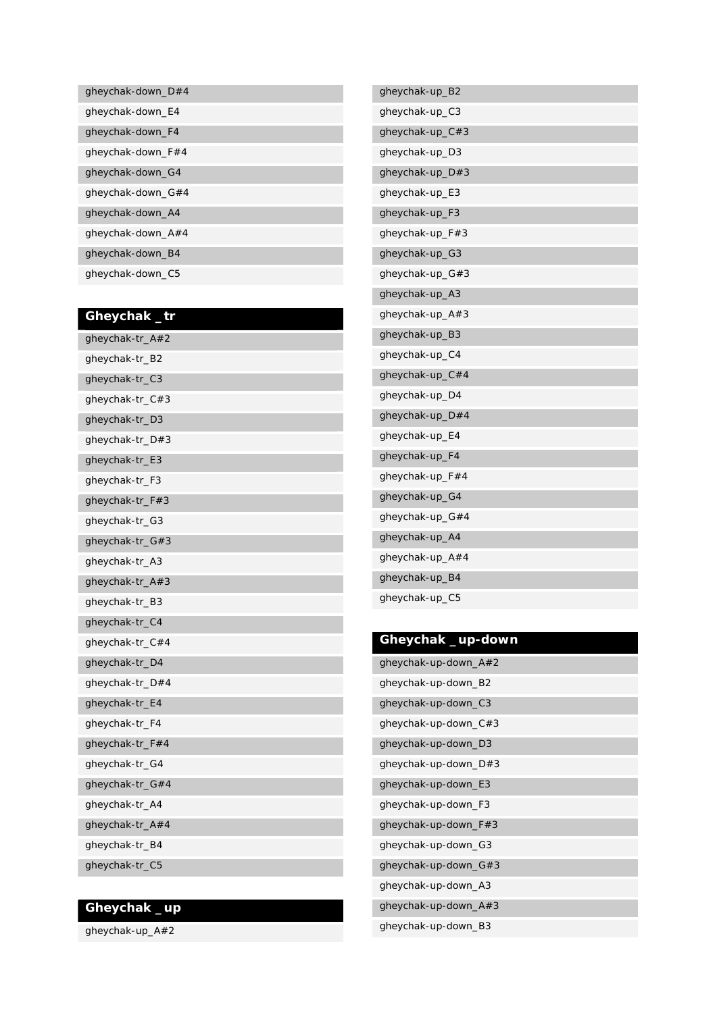| gheychak-down $D#4$ |
|---------------------|
| gheychak-down_E4    |
| gheychak-down F4    |
| gheychak-down_F#4   |
| gheychak-down G4    |
| gheychak-down $G#4$ |
| gheychak-down_A4    |
| gheychak-down $A#4$ |
| gheychak-down B4    |
| gheychak-down C5    |

# **Gheychak \_tr**

| gheychak-tr_A#2 |
|-----------------|
| gheychak-tr_B2  |
| gheychak-tr_C3  |
| gheychak-tr_C#3 |
| gheychak-tr_D3  |
| gheychak-tr_D#3 |
| gheychak-tr_E3  |
| gheychak-tr_F3  |
| gheychak-tr_F#3 |
| gheychak-tr_G3  |
| gheychak-tr_G#3 |
| gheychak-tr_A3  |
| gheychak-tr_A#3 |
| gheychak-tr_B3  |
| gheychak-tr_C4  |
| gheychak-tr_C#4 |
| gheychak-tr_D4  |
| gheychak-tr_D#4 |
| gheychak-tr_E4  |
| gheychak-tr_F4  |
| gheychak-tr_F#4 |
| gheychak-tr_G4  |
| gheychak-tr_G#4 |
| gheychak-tr_A4  |
| gheychak-tr_A#4 |
| gheychak-tr_B4  |
| gheychak-tr_C5  |

# **Gheychak \_up**

gheychak-up\_A#2

| gheychak-up_B2  |
|-----------------|
| gheychak-up_C3  |
| gheychak-up_C#3 |
| gheychak-up_D3  |
| gheychak-up_D#3 |
| gheychak-up_E3  |
| gheychak-up_F3  |
| gheychak-up_F#3 |
| gheychak-up_G3  |
| gheychak-up_G#3 |
| gheychak-up_A3  |
| gheychak-up_A#3 |
| gheychak-up_B3  |
| gheychak-up_C4  |
| gheychak-up_C#4 |
| gheychak-up_D4  |
| gheychak-up_D#4 |
| gheychak-up_E4  |
| gheychak-up_F4  |
| gheychak-up_F#4 |
| gheychak-up_G4  |
| gheychak-up_G#4 |
| gheychak-up_A4  |
| gheychak-up_A#4 |
| gheychak-up_B4  |
| gheychak-up_C5  |
|                 |

| Gheychak _up-down    |
|----------------------|
| gheychak-up-down_A#2 |
| gheychak-up-down_B2  |
| gheychak-up-down_C3  |
| gheychak-up-down_C#3 |
| gheychak-up-down_D3  |
| gheychak-up-down_D#3 |
| gheychak-up-down_E3  |
| gheychak-up-down_F3  |
| gheychak-up-down_F#3 |
| gheychak-up-down_G3  |
| gheychak-up-down_G#3 |
| gheychak-up-down_A3  |
| gheychak-up-down_A#3 |
| gheychak-up-down_B3  |